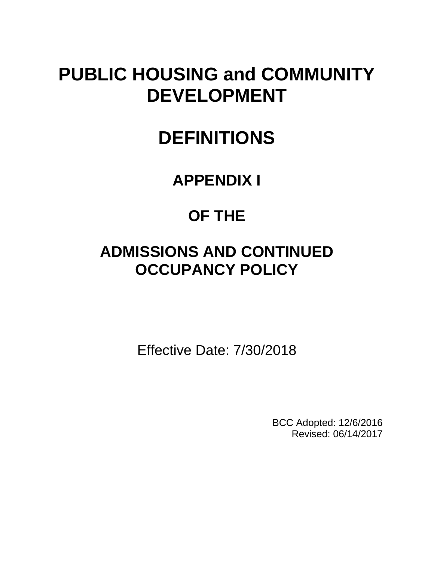# **PUBLIC HOUSING and COMMUNITY DEVELOPMENT**

# **DEFINITIONS**

## **APPENDIX I**

## **OF THE**

## **ADMISSIONS AND CONTINUED OCCUPANCY POLICY**

Effective Date: 7/30/2018

BCC Adopted: 12/6/2016 Revised: 06/14/2017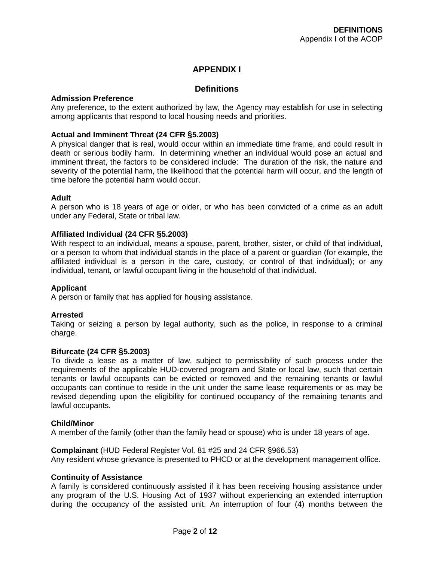## **APPENDIX I**

## **Definitions**

## **Admission Preference**

Any preference, to the extent authorized by law, the Agency may establish for use in selecting among applicants that respond to local housing needs and priorities.

## **Actual and Imminent Threat (24 CFR §5.2003)**

A physical danger that is real, would occur within an immediate time frame, and could result in death or serious bodily harm. In determining whether an individual would pose an actual and imminent threat, the factors to be considered include: The duration of the risk, the nature and severity of the potential harm, the likelihood that the potential harm will occur, and the length of time before the potential harm would occur.

## **Adult**

A person who is 18 years of age or older, or who has been convicted of a crime as an adult under any Federal, State or tribal law.

## **Affiliated Individual (24 CFR §5.2003)**

With respect to an individual, means a spouse, parent, brother, sister, or child of that individual, or a person to whom that individual stands in the place of a parent or guardian (for example, the affiliated individual is a person in the care, custody, or control of that individual); or any individual, tenant, or lawful occupant living in the household of that individual.

## **Applicant**

A person or family that has applied for housing assistance.

## **Arrested**

Taking or seizing a person by legal authority, such as the police, in response to a criminal charge.

## **Bifurcate (24 CFR §5.2003)**

To divide a lease as a matter of law, subject to permissibility of such process under the requirements of the applicable HUD-covered program and State or local law, such that certain tenants or lawful occupants can be evicted or removed and the remaining tenants or lawful occupants can continue to reside in the unit under the same lease requirements or as may be revised depending upon the eligibility for continued occupancy of the remaining tenants and lawful occupants.

## **Child/Minor**

A member of the family (other than the family head or spouse) who is under 18 years of age.

## **Complainant** (HUD Federal Register Vol. 81 #25 and 24 CFR §966.53)

Any resident whose grievance is presented to PHCD or at the development management office.

## **Continuity of Assistance**

A family is considered continuously assisted if it has been receiving housing assistance under any program of the U.S. Housing Act of 1937 without experiencing an extended interruption during the occupancy of the assisted unit. An interruption of four (4) months between the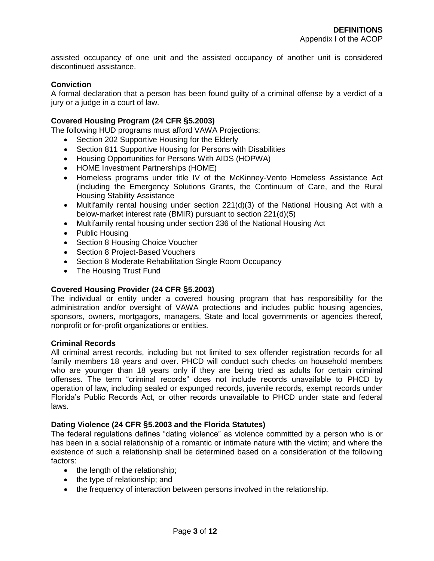assisted occupancy of one unit and the assisted occupancy of another unit is considered discontinued assistance.

## **Conviction**

A formal declaration that a person has been found guilty of a criminal offense by a verdict of a jury or a judge in a court of law.

## **Covered Housing Program (24 CFR §5.2003)**

The following HUD programs must afford VAWA Projections:

- Section 202 Supportive Housing for the Elderly
- Section 811 Supportive Housing for Persons with Disabilities
- Housing Opportunities for Persons With AIDS (HOPWA)
- HOME Investment Partnerships (HOME)
- Homeless programs under title IV of the McKinney-Vento Homeless Assistance Act (including the Emergency Solutions Grants, the Continuum of Care, and the Rural Housing Stability Assistance
- Multifamily rental housing under section 221(d)(3) of the National Housing Act with a below-market interest rate (BMIR) pursuant to section 221(d)(5)
- Multifamily rental housing under section 236 of the National Housing Act
- Public Housing
- Section 8 Housing Choice Voucher
- Section 8 Project-Based Vouchers
- Section 8 Moderate Rehabilitation Single Room Occupancy
- The Housing Trust Fund

#### **Covered Housing Provider (24 CFR §5.2003)**

The individual or entity under a covered housing program that has responsibility for the administration and/or oversight of VAWA protections and includes public housing agencies, sponsors, owners, mortgagors, managers, State and local governments or agencies thereof, nonprofit or for-profit organizations or entities.

## **Criminal Records**

All criminal arrest records, including but not limited to sex offender registration records for all family members 18 years and over. PHCD will conduct such checks on household members who are younger than 18 years only if they are being tried as adults for certain criminal offenses. The term "criminal records" does not include records unavailable to PHCD by operation of law, including sealed or expunged records, juvenile records, exempt records under Florida's Public Records Act, or other records unavailable to PHCD under state and federal laws.

#### **Dating Violence (24 CFR §5.2003 and the Florida Statutes)**

The federal regulations defines "dating violence" as violence committed by a person who is or has been in a social relationship of a romantic or intimate nature with the victim; and where the existence of such a relationship shall be determined based on a consideration of the following factors:

- $\bullet$  the length of the relationship;
- the type of relationship; and
- the frequency of interaction between persons involved in the relationship.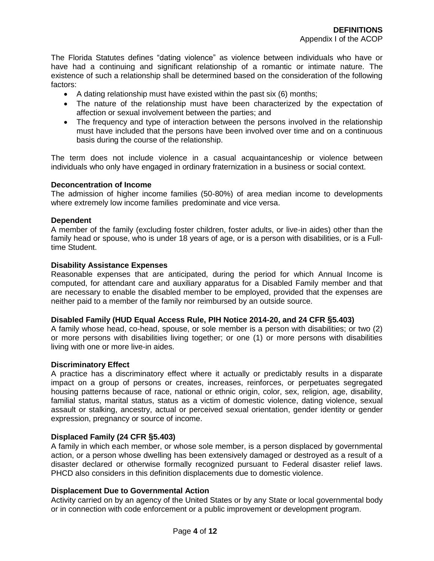The Florida Statutes defines "dating violence" as violence between individuals who have or have had a continuing and significant relationship of a romantic or intimate nature. The existence of such a relationship shall be determined based on the consideration of the following factors:

- $\bullet$  A dating relationship must have existed within the past six (6) months;
- The nature of the relationship must have been characterized by the expectation of affection or sexual involvement between the parties; and
- The frequency and type of interaction between the persons involved in the relationship must have included that the persons have been involved over time and on a continuous basis during the course of the relationship.

The term does not include violence in a casual acquaintanceship or violence between individuals who only have engaged in ordinary fraternization in a business or social context.

## **Deconcentration of Income**

The admission of higher income families (50-80%) of area median income to developments where extremely low income families predominate and vice versa.

#### **Dependent**

A member of the family (excluding foster children, foster adults, or live-in aides) other than the family head or spouse, who is under 18 years of age, or is a person with disabilities, or is a Fulltime Student.

#### **Disability Assistance Expenses**

Reasonable expenses that are anticipated, during the period for which Annual Income is computed, for attendant care and auxiliary apparatus for a Disabled Family member and that are necessary to enable the disabled member to be employed, provided that the expenses are neither paid to a member of the family nor reimbursed by an outside source.

## **Disabled Family (HUD Equal Access Rule, PIH Notice 2014-20, and 24 CFR §5.403)**

A family whose head, co-head, spouse, or sole member is a person with disabilities; or two (2) or more persons with disabilities living together; or one (1) or more persons with disabilities living with one or more live-in aides.

#### **Discriminatory Effect**

A practice has a discriminatory effect where it actually or predictably results in a disparate impact on a group of persons or creates, increases, reinforces, or perpetuates segregated housing patterns because of race, national or ethnic origin, color, sex, religion, age, disability, familial status, marital status, status as a victim of domestic violence, dating violence, sexual assault or stalking, ancestry, actual or perceived sexual orientation, gender identity or gender expression, pregnancy or source of income.

## **Displaced Family (24 CFR §5.403)**

A family in which each member, or whose sole member, is a person displaced by governmental action, or a person whose dwelling has been extensively damaged or destroyed as a result of a disaster declared or otherwise formally recognized pursuant to Federal disaster relief laws. PHCD also considers in this definition displacements due to domestic violence.

## **Displacement Due to Governmental Action**

Activity carried on by an agency of the United States or by any State or local governmental body or in connection with code enforcement or a public improvement or development program.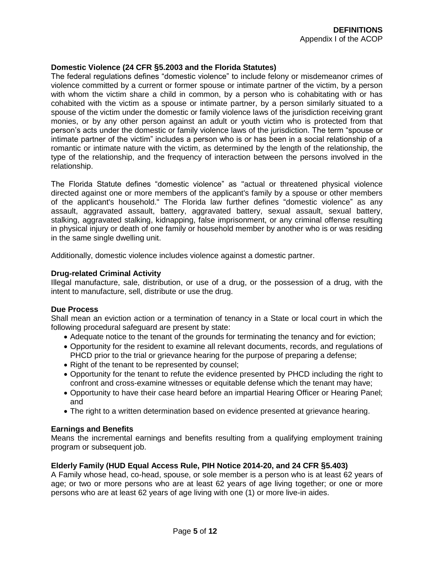## **Domestic Violence (24 CFR §5.2003 and the Florida Statutes)**

The federal regulations defines "domestic violence" to include felony or misdemeanor crimes of violence committed by a current or former spouse or intimate partner of the victim, by a person with whom the victim share a child in common, by a person who is cohabitating with or has cohabited with the victim as a spouse or intimate partner, by a person similarly situated to a spouse of the victim under the domestic or family violence laws of the jurisdiction receiving grant monies, or by any other person against an adult or youth victim who is protected from that person's acts under the domestic or family violence laws of the jurisdiction. The term "spouse or intimate partner of the victim" includes a person who is or has been in a social relationship of a romantic or intimate nature with the victim, as determined by the length of the relationship, the type of the relationship, and the frequency of interaction between the persons involved in the relationship.

The Florida Statute defines "domestic violence" as "actual or threatened physical violence directed against one or more members of the applicant's family by a spouse or other members of the applicant's household." The Florida law further defines "domestic violence" as any assault, aggravated assault, battery, aggravated battery, sexual assault, sexual battery, stalking, aggravated stalking, kidnapping, false imprisonment, or any criminal offense resulting in physical injury or death of one family or household member by another who is or was residing in the same single dwelling unit.

Additionally, domestic violence includes violence against a domestic partner.

## **Drug-related Criminal Activity**

Illegal manufacture, sale, distribution, or use of a drug, or the possession of a drug, with the intent to manufacture, sell, distribute or use the drug.

#### **Due Process**

Shall mean an eviction action or a termination of tenancy in a State or local court in which the following procedural safeguard are present by state:

- Adequate notice to the tenant of the grounds for terminating the tenancy and for eviction;
- Opportunity for the resident to examine all relevant documents, records, and regulations of PHCD prior to the trial or grievance hearing for the purpose of preparing a defense;
- Right of the tenant to be represented by counsel;
- Opportunity for the tenant to refute the evidence presented by PHCD including the right to confront and cross-examine witnesses or equitable defense which the tenant may have;
- Opportunity to have their case heard before an impartial Hearing Officer or Hearing Panel; and
- The right to a written determination based on evidence presented at grievance hearing.

## **Earnings and Benefits**

Means the incremental earnings and benefits resulting from a qualifying employment training program or subsequent job.

## **Elderly Family (HUD Equal Access Rule, PIH Notice 2014-20, and 24 CFR §5.403)**

A Family whose head, co-head, spouse, or sole member is a person who is at least 62 years of age; or two or more persons who are at least 62 years of age living together; or one or more persons who are at least 62 years of age living with one (1) or more live-in aides.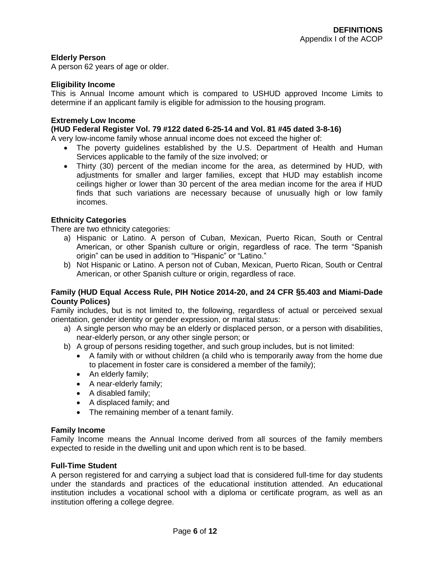## **Elderly Person**

A person 62 years of age or older.

## **Eligibility Income**

This is Annual Income amount which is compared to USHUD approved Income Limits to determine if an applicant family is eligible for admission to the housing program.

## **Extremely Low Income**

## **(HUD Federal Register Vol. 79 #122 dated 6-25-14 and Vol. 81 #45 dated 3-8-16)**

A very low-income family whose annual income does not exceed the higher of:

- The poverty guidelines established by the U.S. Department of Health and Human Services applicable to the family of the size involved; or
- Thirty (30) percent of the median income for the area, as determined by HUD, with adjustments for smaller and larger families, except that HUD may establish income ceilings higher or lower than 30 percent of the area median income for the area if HUD finds that such variations are necessary because of unusually high or low family incomes.

## **Ethnicity Categories**

There are two ethnicity categories:

- a) Hispanic or Latino. A person of Cuban, Mexican, Puerto Rican, South or Central American, or other Spanish culture or origin, regardless of race. The term "Spanish origin" can be used in addition to "Hispanic" or "Latino."
- b) Not Hispanic or Latino. A person not of Cuban, Mexican, Puerto Rican, South or Central American, or other Spanish culture or origin, regardless of race.

## **Family (HUD Equal Access Rule, PIH Notice 2014-20, and 24 CFR §5.403 and Miami-Dade County Polices)**

Family includes, but is not limited to, the following, regardless of actual or perceived sexual orientation, gender identity or gender expression, or marital status:

- a) A single person who may be an elderly or displaced person, or a person with disabilities, near-elderly person, or any other single person; or
- b) A group of persons residing together, and such group includes, but is not limited:
	- A family with or without children (a child who is temporarily away from the home due to placement in foster care is considered a member of the family);
	- An elderly family;
	- A near-elderly family;
	- A disabled family;
	- A displaced family; and
	- The remaining member of a tenant family.

## **Family Income**

Family Income means the Annual Income derived from all sources of the family members expected to reside in the dwelling unit and upon which rent is to be based.

#### **Full-Time Student**

A person registered for and carrying a subject load that is considered full-time for day students under the standards and practices of the educational institution attended. An educational institution includes a vocational school with a diploma or certificate program, as well as an institution offering a college degree.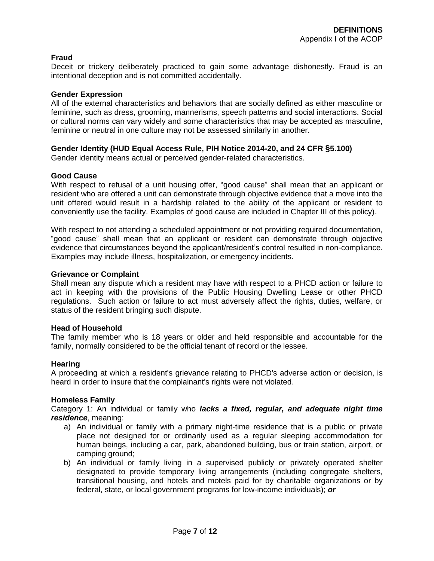## **Fraud**

Deceit or trickery deliberately practiced to gain some advantage dishonestly. Fraud is an intentional deception and is not committed accidentally.

## **Gender Expression**

All of the external characteristics and behaviors that are socially defined as either masculine or feminine, such as dress, grooming, mannerisms, speech patterns and social interactions. Social or cultural norms can vary widely and some characteristics that may be accepted as masculine, feminine or neutral in one culture may not be assessed similarly in another.

## **Gender Identity (HUD Equal Access Rule, PIH Notice 2014-20, and 24 CFR §5.100)**

Gender identity means actual or perceived gender-related characteristics.

## **Good Cause**

With respect to refusal of a unit housing offer, "good cause" shall mean that an applicant or resident who are offered a unit can demonstrate through objective evidence that a move into the unit offered would result in a hardship related to the ability of the applicant or resident to conveniently use the facility. Examples of good cause are included in Chapter III of this policy).

With respect to not attending a scheduled appointment or not providing required documentation, "good cause" shall mean that an applicant or resident can demonstrate through objective evidence that circumstances beyond the applicant/resident's control resulted in non-compliance. Examples may include illness, hospitalization, or emergency incidents.

## **Grievance or Complaint**

Shall mean any dispute which a resident may have with respect to a PHCD action or failure to act in keeping with the provisions of the Public Housing Dwelling Lease or other PHCD regulations. Such action or failure to act must adversely affect the rights, duties, welfare, or status of the resident bringing such dispute.

#### **Head of Household**

The family member who is 18 years or older and held responsible and accountable for the family, normally considered to be the official tenant of record or the lessee.

#### **Hearing**

A proceeding at which a resident's grievance relating to PHCD's adverse action or decision, is heard in order to insure that the complainant's rights were not violated.

#### **Homeless Family**

Category 1: An individual or family who *lacks a fixed, regular, and adequate night time residence*, meaning:

- a) An individual or family with a primary night-time residence that is a public or private place not designed for or ordinarily used as a regular sleeping accommodation for human beings, including a car, park, abandoned building, bus or train station, airport, or camping ground;
- b) An individual or family living in a supervised publicly or privately operated shelter designated to provide temporary living arrangements (including congregate shelters, transitional housing, and hotels and motels paid for by charitable organizations or by federal, state, or local government programs for low-income individuals); *or*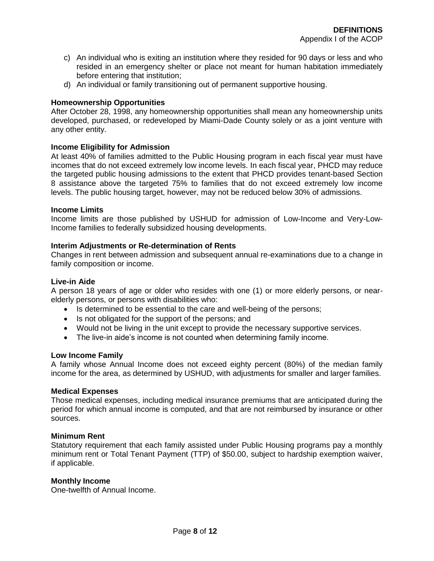- c) An individual who is exiting an institution where they resided for 90 days or less and who resided in an emergency shelter or place not meant for human habitation immediately before entering that institution;
- d) An individual or family transitioning out of permanent supportive housing.

## **Homeownership Opportunities**

After October 28, 1998, any homeownership opportunities shall mean any homeownership units developed, purchased, or redeveloped by Miami-Dade County solely or as a joint venture with any other entity.

## **Income Eligibility for Admission**

At least 40% of families admitted to the Public Housing program in each fiscal year must have incomes that do not exceed extremely low income levels. In each fiscal year, PHCD may reduce the targeted public housing admissions to the extent that PHCD provides tenant-based Section 8 assistance above the targeted 75% to families that do not exceed extremely low income levels. The public housing target, however, may not be reduced below 30% of admissions.

#### **Income Limits**

Income limits are those published by USHUD for admission of Low-Income and Very-Low-Income families to federally subsidized housing developments.

## **Interim Adjustments or Re-determination of Rents**

Changes in rent between admission and subsequent annual re-examinations due to a change in family composition or income.

#### **Live-in Aide**

A person 18 years of age or older who resides with one (1) or more elderly persons, or nearelderly persons, or persons with disabilities who:

- Is determined to be essential to the care and well-being of the persons;
- Is not obligated for the support of the persons; and
- Would not be living in the unit except to provide the necessary supportive services.
- The live-in aide's income is not counted when determining family income.

#### **Low Income Family**

A family whose Annual Income does not exceed eighty percent (80%) of the median family income for the area, as determined by USHUD, with adjustments for smaller and larger families.

#### **Medical Expenses**

Those medical expenses, including medical insurance premiums that are anticipated during the period for which annual income is computed, and that are not reimbursed by insurance or other sources.

## **Minimum Rent**

Statutory requirement that each family assisted under Public Housing programs pay a monthly minimum rent or Total Tenant Payment (TTP) of \$50.00, subject to hardship exemption waiver, if applicable.

#### **Monthly Income**

One-twelfth of Annual Income.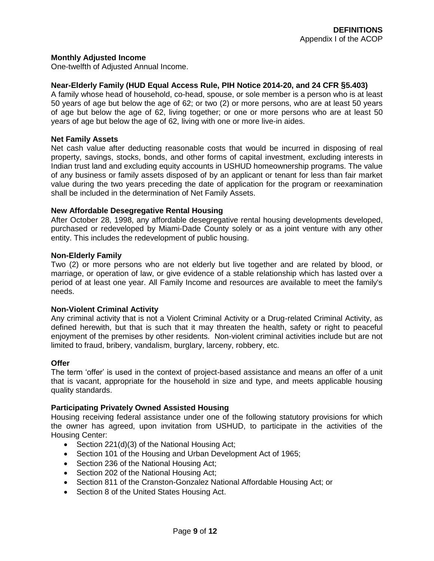## **Monthly Adjusted Income**

One-twelfth of Adjusted Annual Income.

## **Near-Elderly Family (HUD Equal Access Rule, PIH Notice 2014-20, and 24 CFR §5.403)**

A family whose head of household, co-head, spouse, or sole member is a person who is at least 50 years of age but below the age of 62; or two (2) or more persons, who are at least 50 years of age but below the age of 62, living together; or one or more persons who are at least 50 years of age but below the age of 62, living with one or more live-in aides.

## **Net Family Assets**

Net cash value after deducting reasonable costs that would be incurred in disposing of real property, savings, stocks, bonds, and other forms of capital investment, excluding interests in Indian trust land and excluding equity accounts in USHUD homeownership programs. The value of any business or family assets disposed of by an applicant or tenant for less than fair market value during the two years preceding the date of application for the program or reexamination shall be included in the determination of Net Family Assets.

## **New Affordable Desegregative Rental Housing**

After October 28, 1998, any affordable desegregative rental housing developments developed, purchased or redeveloped by Miami-Dade County solely or as a joint venture with any other entity. This includes the redevelopment of public housing.

#### **Non-Elderly Family**

Two (2) or more persons who are not elderly but live together and are related by blood, or marriage, or operation of law, or give evidence of a stable relationship which has lasted over a period of at least one year. All Family Income and resources are available to meet the family's needs.

## **Non-Violent Criminal Activity**

Any criminal activity that is not a Violent Criminal Activity or a Drug-related Criminal Activity, as defined herewith, but that is such that it may threaten the health, safety or right to peaceful enjoyment of the premises by other residents. Non-violent criminal activities include but are not limited to fraud, bribery, vandalism, burglary, larceny, robbery, etc.

## **Offer**

The term 'offer' is used in the context of project-based assistance and means an offer of a unit that is vacant, appropriate for the household in size and type, and meets applicable housing quality standards.

## **Participating Privately Owned Assisted Housing**

Housing receiving federal assistance under one of the following statutory provisions for which the owner has agreed, upon invitation from USHUD, to participate in the activities of the Housing Center:

- Section 221(d)(3) of the National Housing Act;
- Section 101 of the Housing and Urban Development Act of 1965;
- Section 236 of the National Housing Act;
- Section 202 of the National Housing Act:
- Section 811 of the Cranston-Gonzalez National Affordable Housing Act; or
- Section 8 of the United States Housing Act.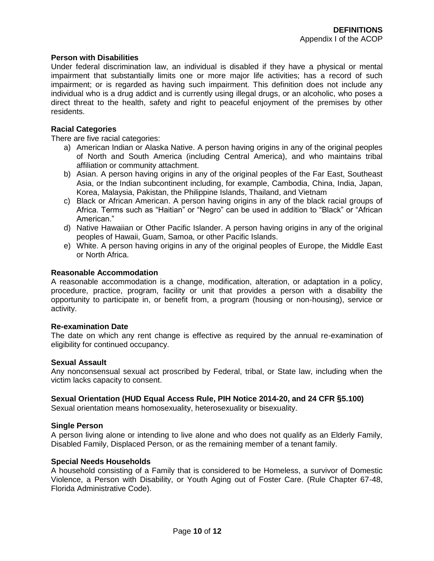## **Person with Disabilities**

Under federal discrimination law, an individual is disabled if they have a physical or mental impairment that substantially limits one or more major life activities; has a record of such impairment; or is regarded as having such impairment. This definition does not include any individual who is a drug addict and is currently using illegal drugs, or an alcoholic, who poses a direct threat to the health, safety and right to peaceful enjoyment of the premises by other residents.

## **Racial Categories**

There are five racial categories:

- a) American Indian or Alaska Native. A person having origins in any of the original peoples of North and South America (including Central America), and who maintains tribal affiliation or community attachment.
- b) Asian. A person having origins in any of the original peoples of the Far East, Southeast Asia, or the Indian subcontinent including, for example, Cambodia, China, India, Japan, Korea, Malaysia, Pakistan, the Philippine Islands, Thailand, and Vietnam
- c) Black or African American. A person having origins in any of the black racial groups of Africa. Terms such as "Haitian" or "Negro" can be used in addition to "Black" or "African American."
- d) Native Hawaiian or Other Pacific Islander. A person having origins in any of the original peoples of Hawaii, Guam, Samoa, or other Pacific Islands.
- e) White. A person having origins in any of the original peoples of Europe, the Middle East or North Africa.

## **Reasonable Accommodation**

A reasonable accommodation is a change, modification, alteration, or adaptation in a policy, procedure, practice, program, facility or unit that provides a person with a disability the opportunity to participate in, or benefit from, a program (housing or non-housing), service or activity.

## **Re-examination Date**

The date on which any rent change is effective as required by the annual re-examination of eligibility for continued occupancy.

## **Sexual Assault**

Any nonconsensual sexual act proscribed by Federal, tribal, or State law, including when the victim lacks capacity to consent.

## **Sexual Orientation (HUD Equal Access Rule, PIH Notice 2014-20, and 24 CFR §5.100)**

Sexual orientation means homosexuality, heterosexuality or bisexuality.

## **Single Person**

A person living alone or intending to live alone and who does not qualify as an Elderly Family, Disabled Family, Displaced Person, or as the remaining member of a tenant family.

## **Special Needs Households**

A household consisting of a Family that is considered to be Homeless, a survivor of Domestic Violence, a Person with Disability, or Youth Aging out of Foster Care. (Rule Chapter 67-48, Florida Administrative Code).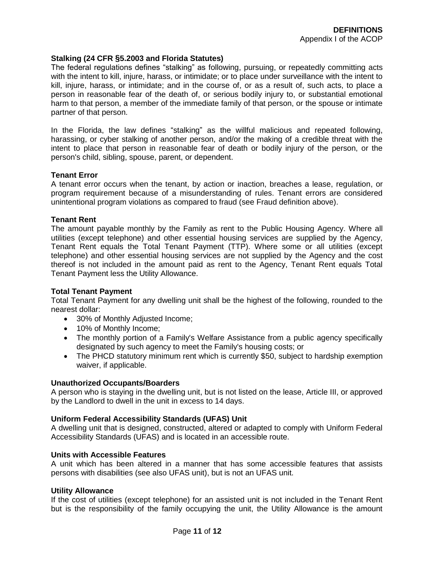## **Stalking (24 CFR §5.2003 and Florida Statutes)**

The federal regulations defines "stalking" as following, pursuing, or repeatedly committing acts with the intent to kill, injure, harass, or intimidate; or to place under surveillance with the intent to kill, injure, harass, or intimidate; and in the course of, or as a result of, such acts, to place a person in reasonable fear of the death of, or serious bodily injury to, or substantial emotional harm to that person, a member of the immediate family of that person, or the spouse or intimate partner of that person.

In the Florida, the law defines "stalking" as the willful malicious and repeated following, harassing, or cyber stalking of another person, and/or the making of a credible threat with the intent to place that person in reasonable fear of death or bodily injury of the person, or the person's child, sibling, spouse, parent, or dependent.

## **Tenant Error**

A tenant error occurs when the tenant, by action or inaction, breaches a lease, regulation, or program requirement because of a misunderstanding of rules. Tenant errors are considered unintentional program violations as compared to fraud (see Fraud definition above).

#### **Tenant Rent**

The amount payable monthly by the Family as rent to the Public Housing Agency. Where all utilities (except telephone) and other essential housing services are supplied by the Agency, Tenant Rent equals the Total Tenant Payment (TTP). Where some or all utilities (except telephone) and other essential housing services are not supplied by the Agency and the cost thereof is not included in the amount paid as rent to the Agency, Tenant Rent equals Total Tenant Payment less the Utility Allowance.

## **Total Tenant Payment**

Total Tenant Payment for any dwelling unit shall be the highest of the following, rounded to the nearest dollar:

- 30% of Monthly Adjusted Income;
- 10% of Monthly Income;
- The monthly portion of a Family's Welfare Assistance from a public agency specifically designated by such agency to meet the Family's housing costs; or
- The PHCD statutory minimum rent which is currently \$50, subject to hardship exemption waiver, if applicable.

## **Unauthorized Occupants/Boarders**

A person who is staying in the dwelling unit, but is not listed on the lease, Article III, or approved by the Landlord to dwell in the unit in excess to 14 days.

## **Uniform Federal Accessibility Standards (UFAS) Unit**

A dwelling unit that is designed, constructed, altered or adapted to comply with Uniform Federal Accessibility Standards (UFAS) and is located in an accessible route.

#### **Units with Accessible Features**

A unit which has been altered in a manner that has some accessible features that assists persons with disabilities (see also UFAS unit), but is not an UFAS unit.

## **Utility Allowance**

If the cost of utilities (except telephone) for an assisted unit is not included in the Tenant Rent but is the responsibility of the family occupying the unit, the Utility Allowance is the amount